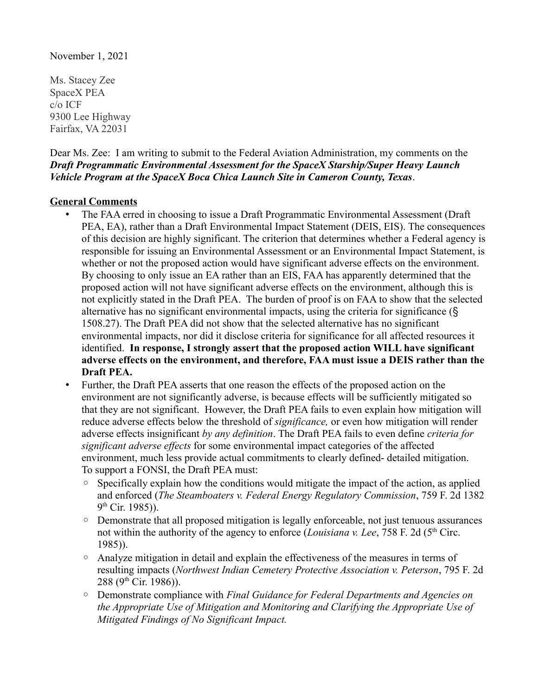November 1, 2021

Ms. Stacey Zee SpaceX PEA c/o ICF 9300 Lee Highway Fairfax, VA 22031

Dear Ms. Zee: I am writing to submit to the Federal Aviation Administration, my comments on the *Draft Programmatic Environmental Assessment for the SpaceX Starship/Super Heavy Launch Vehicle Program at the SpaceX Boca Chica Launch Site in Cameron County, Texas*.

## **General Comments**

- The FAA erred in choosing to issue a Draft Programmatic Environmental Assessment (Draft PEA, EA), rather than a Draft Environmental Impact Statement (DEIS, EIS). The consequences of this decision are highly significant. The criterion that determines whether a Federal agency is responsible for issuing an Environmental Assessment or an Environmental Impact Statement, is whether or not the proposed action would have significant adverse effects on the environment. By choosing to only issue an EA rather than an EIS, FAA has apparently determined that the proposed action will not have significant adverse effects on the environment, although this is not explicitly stated in the Draft PEA. The burden of proof is on FAA to show that the selected alternative has no significant environmental impacts, using the criteria for significance (§ 1508.27). The Draft PEA did not show that the selected alternative has no significant environmental impacts, nor did it disclose criteria for significance for all affected resources it identified. **In response, I strongly assert that the proposed action WILL have significant adverse effects on the environment, and therefore, FAA must issue a DEIS rather than the Draft PEA.**
- Further, the Draft PEA asserts that one reason the effects of the proposed action on the environment are not significantly adverse, is because effects will be sufficiently mitigated so that they are not significant. However, the Draft PEA fails to even explain how mitigation will reduce adverse effects below the threshold of *significance,* or even how mitigation will render adverse effects insignificant *by any definition*. The Draft PEA fails to even define *criteria for significant adverse effects* for some environmental impact categories of the affected environment, much less provide actual commitments to clearly defined- detailed mitigation. To support a FONSI, the Draft PEA must:
	- Specifically explain how the conditions would mitigate the impact of the action, as applied and enforced (*The Steamboaters v. Federal Energy Regulatory Commission*, 759 F. 2d 1382 9<sup>th</sup> Cir. 1985)).
	- Demonstrate that all proposed mitigation is legally enforceable, not just tenuous assurances not within the authority of the agency to enforce *(Louisiana v. Lee, 758 F. 2d (5<sup>th</sup>* Circ.) 1985)).
	- Analyze mitigation in detail and explain the effectiveness of the measures in terms of resulting impacts (*Northwest Indian Cemetery Protective Association v. Peterson*, 795 F. 2d 288 (9th Cir. 1986)).
	- Demonstrate compliance with *Final Guidance for Federal Departments and Agencies on the Appropriate Use of Mitigation and Monitoring and Clarifying the Appropriate Use of Mitigated Findings of No Significant Impact.*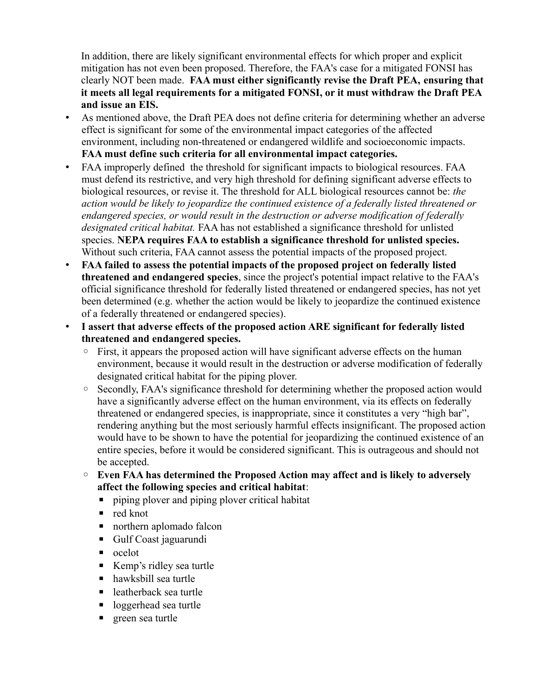In addition, there are likely significant environmental effects for which proper and explicit mitigation has not even been proposed. Therefore, the FAA's case for a mitigated FONSI has clearly NOT been made. **FAA must either significantly revise the Draft PEA, ensuring that it meets all legal requirements for a mitigated FONSI, or it must withdraw the Draft PEA and issue an EIS.**

- As mentioned above, the Draft PEA does not define criteria for determining whether an adverse effect is significant for some of the environmental impact categories of the affected environment, including non-threatened or endangered wildlife and socioeconomic impacts. **FAA must define such criteria for all environmental impact categories.**
- FAA improperly defined the threshold for significant impacts to biological resources. FAA must defend its restrictive, and very high threshold for defining significant adverse effects to biological resources, or revise it. The threshold for ALL biological resources cannot be: *the action would be likely to jeopardize the continued existence of a federally listed threatened or endangered species, or would result in the destruction or adverse modification of federally designated critical habitat.* FAA has not established a significance threshold for unlisted species. **NEPA requires FAA to establish a significance threshold for unlisted species.**  Without such criteria, FAA cannot assess the potential impacts of the proposed project.
- **FAA failed to assess the potential impacts of the proposed project on federally listed threatened and endangered species**, since the project's potential impact relative to the FAA's official significance threshold for federally listed threatened or endangered species, has not yet been determined (e.g. whether the action would be likely to jeopardize the continued existence of a federally threatened or endangered species).
- **I assert that adverse effects of the proposed action ARE significant for federally listed threatened and endangered species.** 
	- First, it appears the proposed action will have significant adverse effects on the human environment, because it would result in the destruction or adverse modification of federally designated critical habitat for the piping plover.
	- Secondly, FAA's significance threshold for determining whether the proposed action would have a significantly adverse effect on the human environment, via its effects on federally threatened or endangered species, is inappropriate, since it constitutes a very "high bar", rendering anything but the most seriously harmful effects insignificant. The proposed action would have to be shown to have the potential for jeopardizing the continued existence of an entire species, before it would be considered significant. This is outrageous and should not be accepted.
	- **Even FAA has determined the Proposed Action may affect and is likely to adversely affect the following species and critical habitat**:
		- **•** piping plover and piping plover critical habitat
		- $\blacksquare$  red knot
		- northern aplomado falcon
		- Gulf Coast jaguarundi
		- ocelot
		- Kemp's ridley sea turtle
		- hawksbill sea turtle
		- leatherback sea turtle
		- loggerhead sea turtle
		- green sea turtle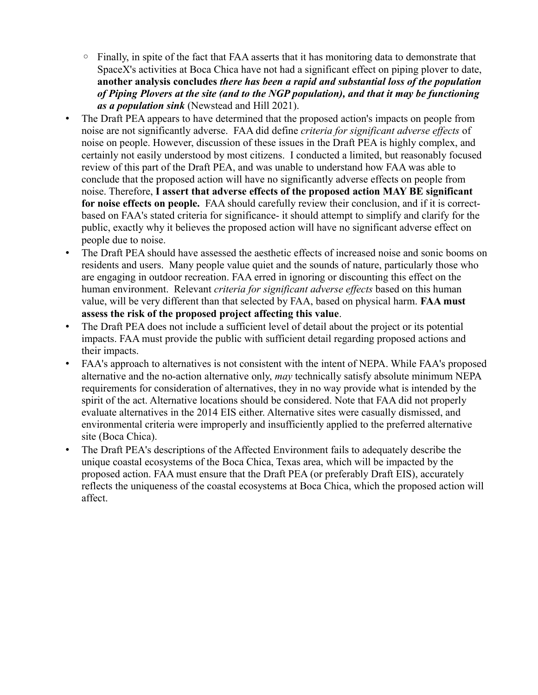- Finally, in spite of the fact that FAA asserts that it has monitoring data to demonstrate that SpaceX's activities at Boca Chica have not had a significant effect on piping plover to date, **another analysis concludes** *there has been a rapid and substantial loss of the population of Piping Plovers at the site (and to the NGP population), and that it may be functioning as a population sink* (Newstead and Hill 2021).
- The Draft PEA appears to have determined that the proposed action's impacts on people from noise are not significantly adverse. FAA did define *criteria for significant adverse effects* of noise on people. However, discussion of these issues in the Draft PEA is highly complex, and certainly not easily understood by most citizens. I conducted a limited, but reasonably focused review of this part of the Draft PEA, and was unable to understand how FAA was able to conclude that the proposed action will have no significantly adverse effects on people from noise. Therefore, **I assert that adverse effects of the proposed action MAY BE significant for noise effects on people.** FAA should carefully review their conclusion, and if it is correctbased on FAA's stated criteria for significance- it should attempt to simplify and clarify for the public, exactly why it believes the proposed action will have no significant adverse effect on people due to noise.
- The Draft PEA should have assessed the aesthetic effects of increased noise and sonic booms on residents and users. Many people value quiet and the sounds of nature, particularly those who are engaging in outdoor recreation. FAA erred in ignoring or discounting this effect on the human environment. Relevant *criteria for significant adverse effects* based on this human value, will be very different than that selected by FAA, based on physical harm. **FAA must assess the risk of the proposed project affecting this value**.
- The Draft PEA does not include a sufficient level of detail about the project or its potential impacts. FAA must provide the public with sufficient detail regarding proposed actions and their impacts.
- FAA's approach to alternatives is not consistent with the intent of NEPA. While FAA's proposed alternative and the no-action alternative only, *may* technically satisfy absolute minimum NEPA requirements for consideration of alternatives, they in no way provide what is intended by the spirit of the act. Alternative locations should be considered. Note that FAA did not properly evaluate alternatives in the 2014 EIS either. Alternative sites were casually dismissed, and environmental criteria were improperly and insufficiently applied to the preferred alternative site (Boca Chica).
- The Draft PEA's descriptions of the Affected Environment fails to adequately describe the unique coastal ecosystems of the Boca Chica, Texas area, which will be impacted by the proposed action. FAA must ensure that the Draft PEA (or preferably Draft EIS), accurately reflects the uniqueness of the coastal ecosystems at Boca Chica, which the proposed action will affect.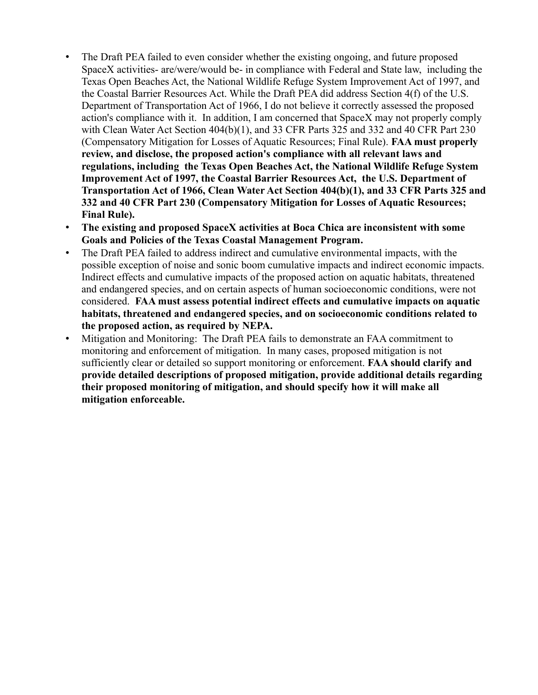- The Draft PEA failed to even consider whether the existing ongoing, and future proposed SpaceX activities- are/were/would be- in compliance with Federal and State law, including the Texas Open Beaches Act, the National Wildlife Refuge System Improvement Act of 1997, and the Coastal Barrier Resources Act. While the Draft PEA did address Section 4(f) of the U.S. Department of Transportation Act of 1966, I do not believe it correctly assessed the proposed action's compliance with it. In addition, I am concerned that SpaceX may not properly comply with Clean Water Act Section 404(b)(1), and 33 CFR Parts 325 and 332 and 40 CFR Part 230 (Compensatory Mitigation for Losses of Aquatic Resources; Final Rule). **FAA must properly review, and disclose, the proposed action's compliance with all relevant laws and regulations, including the Texas Open Beaches Act, the National Wildlife Refuge System Improvement Act of 1997, the Coastal Barrier Resources Act, the U.S. Department of Transportation Act of 1966, Clean Water Act Section 404(b)(1), and 33 CFR Parts 325 and 332 and 40 CFR Part 230 (Compensatory Mitigation for Losses of Aquatic Resources; Final Rule).**
- **The existing and proposed SpaceX activities at Boca Chica are inconsistent with some Goals and Policies of the Texas Coastal Management Program.**
- The Draft PEA failed to address indirect and cumulative environmental impacts, with the possible exception of noise and sonic boom cumulative impacts and indirect economic impacts. Indirect effects and cumulative impacts of the proposed action on aquatic habitats, threatened and endangered species, and on certain aspects of human socioeconomic conditions, were not considered. **FAA must assess potential indirect effects and cumulative impacts on aquatic habitats, threatened and endangered species, and on socioeconomic conditions related to the proposed action, as required by NEPA.**
- Mitigation and Monitoring: The Draft PEA fails to demonstrate an FAA commitment to monitoring and enforcement of mitigation. In many cases, proposed mitigation is not sufficiently clear or detailed so support monitoring or enforcement. **FAA should clarify and provide detailed descriptions of proposed mitigation, provide additional details regarding their proposed monitoring of mitigation, and should specify how it will make all mitigation enforceable.**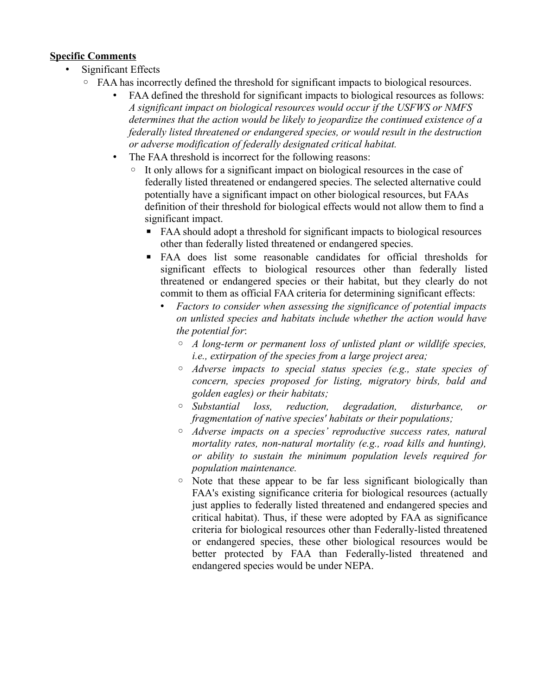## **Specific Comments**

- Significant Effects
	- FAA has incorrectly defined the threshold for significant impacts to biological resources.
		- FAA defined the threshold for significant impacts to biological resources as follows: *A significant impact on biological resources would occur if the USFWS or NMFS determines that the action would be likely to jeopardize the continued existence of a federally listed threatened or endangered species, or would result in the destruction or adverse modification of federally designated critical habitat.*
		- The FAA threshold is incorrect for the following reasons:
			- It only allows for a significant impact on biological resources in the case of federally listed threatened or endangered species. The selected alternative could potentially have a significant impact on other biological resources, but FAAs definition of their threshold for biological effects would not allow them to find a significant impact.
				- FAA should adopt a threshold for significant impacts to biological resources other than federally listed threatened or endangered species.
				- FAA does list some reasonable candidates for official thresholds for significant effects to biological resources other than federally listed threatened or endangered species or their habitat, but they clearly do not commit to them as official FAA criteria for determining significant effects:
					- *Factors to consider when assessing the significance of potential impacts on unlisted species and habitats include whether the action would have the potential for*:
						- *A long-term or permanent loss of unlisted plant or wildlife species, i.e., extirpation of the species from a large project area;*
						- *Adverse impacts to special status species (e.g., state species of concern, species proposed for listing, migratory birds, bald and golden eagles) or their habitats;*
						- *Substantial loss, reduction, degradation, disturbance, or fragmentation of native species' habitats or their populations;*
						- *Adverse impacts on a species' reproductive success rates, natural mortality rates, non-natural mortality (e.g., road kills and hunting), or ability to sustain the minimum population levels required for population maintenance.*
						- Note that these appear to be far less significant biologically than FAA's existing significance criteria for biological resources (actually just applies to federally listed threatened and endangered species and critical habitat). Thus, if these were adopted by FAA as significance criteria for biological resources other than Federally-listed threatened or endangered species, these other biological resources would be better protected by FAA than Federally-listed threatened and endangered species would be under NEPA.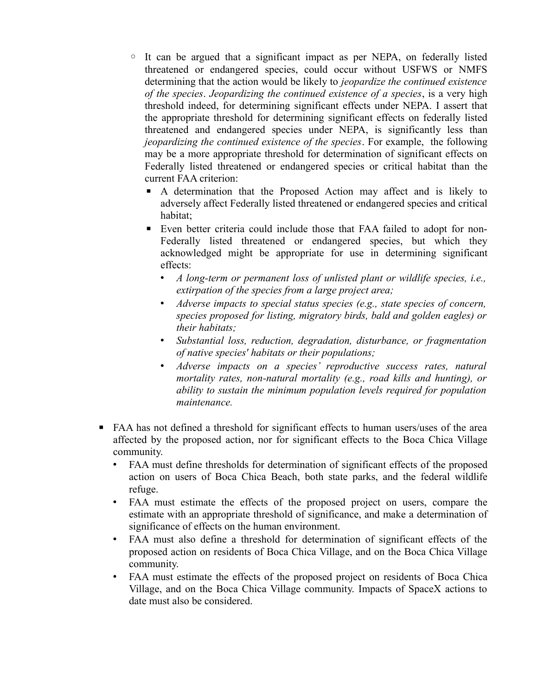- It can be argued that a significant impact as per NEPA, on federally listed threatened or endangered species, could occur without USFWS or NMFS determining that the action would be likely to *jeopardize the continued existence of the species*. *Jeopardizing the continued existence of a species*, is a very high threshold indeed, for determining significant effects under NEPA. I assert that the appropriate threshold for determining significant effects on federally listed threatened and endangered species under NEPA, is significantly less than *jeopardizing the continued existence of the species*. For example, the following may be a more appropriate threshold for determination of significant effects on Federally listed threatened or endangered species or critical habitat than the current FAA criterion:
	- A determination that the Proposed Action may affect and is likely to adversely affect Federally listed threatened or endangered species and critical habitat;
	- Even better criteria could include those that FAA failed to adopt for non-Federally listed threatened or endangered species, but which they acknowledged might be appropriate for use in determining significant effects:
		- *A long-term or permanent loss of unlisted plant or wildlife species, i.e., extirpation of the species from a large project area;*
		- *Adverse impacts to special status species (e.g., state species of concern, species proposed for listing, migratory birds, bald and golden eagles) or their habitats;*
		- *Substantial loss, reduction, degradation, disturbance, or fragmentation of native species' habitats or their populations;*
		- *Adverse impacts on a species' reproductive success rates, natural mortality rates, non-natural mortality (e.g., road kills and hunting), or ability to sustain the minimum population levels required for population maintenance.*
- FAA has not defined a threshold for significant effects to human users/uses of the area affected by the proposed action, nor for significant effects to the Boca Chica Village community.
	- FAA must define thresholds for determination of significant effects of the proposed action on users of Boca Chica Beach, both state parks, and the federal wildlife refuge.
	- FAA must estimate the effects of the proposed project on users, compare the estimate with an appropriate threshold of significance, and make a determination of significance of effects on the human environment.
	- FAA must also define a threshold for determination of significant effects of the proposed action on residents of Boca Chica Village, and on the Boca Chica Village community.
	- FAA must estimate the effects of the proposed project on residents of Boca Chica Village, and on the Boca Chica Village community. Impacts of SpaceX actions to date must also be considered.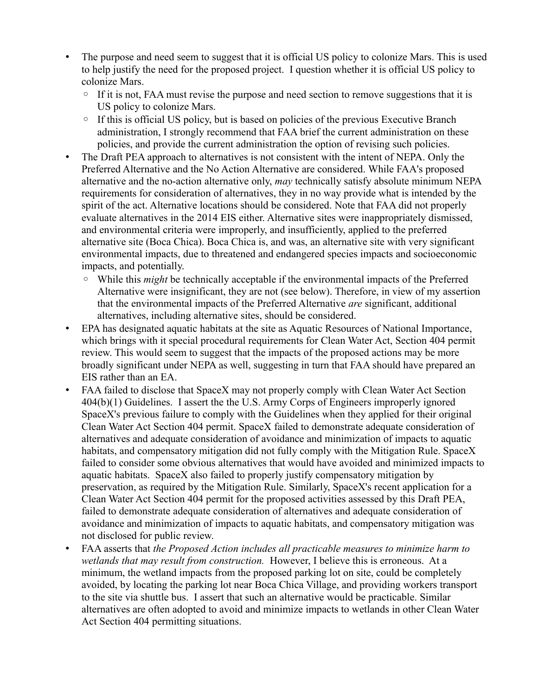- The purpose and need seem to suggest that it is official US policy to colonize Mars. This is used to help justify the need for the proposed project. I question whether it is official US policy to colonize Mars.
	- If it is not, FAA must revise the purpose and need section to remove suggestions that it is US policy to colonize Mars.
	- If this is official US policy, but is based on policies of the previous Executive Branch administration, I strongly recommend that FAA brief the current administration on these policies, and provide the current administration the option of revising such policies.
- The Draft PEA approach to alternatives is not consistent with the intent of NEPA. Only the Preferred Alternative and the No Action Alternative are considered. While FAA's proposed alternative and the no-action alternative only, *may* technically satisfy absolute minimum NEPA requirements for consideration of alternatives, they in no way provide what is intended by the spirit of the act. Alternative locations should be considered. Note that FAA did not properly evaluate alternatives in the 2014 EIS either. Alternative sites were inappropriately dismissed, and environmental criteria were improperly, and insufficiently, applied to the preferred alternative site (Boca Chica). Boca Chica is, and was, an alternative site with very significant environmental impacts, due to threatened and endangered species impacts and socioeconomic impacts, and potentially.
	- While this *might* be technically acceptable if the environmental impacts of the Preferred Alternative were insignificant, they are not (see below). Therefore, in view of my assertion that the environmental impacts of the Preferred Alternative *are* significant, additional alternatives, including alternative sites, should be considered.
- EPA has designated aquatic habitats at the site as Aquatic Resources of National Importance, which brings with it special procedural requirements for Clean Water Act, Section 404 permit review. This would seem to suggest that the impacts of the proposed actions may be more broadly significant under NEPA as well, suggesting in turn that FAA should have prepared an EIS rather than an EA.
- FAA failed to disclose that SpaceX may not properly comply with Clean Water Act Section 404(b)(1) Guidelines. I assert the the U.S. Army Corps of Engineers improperly ignored SpaceX's previous failure to comply with the Guidelines when they applied for their original Clean Water Act Section 404 permit. SpaceX failed to demonstrate adequate consideration of alternatives and adequate consideration of avoidance and minimization of impacts to aquatic habitats, and compensatory mitigation did not fully comply with the Mitigation Rule. SpaceX failed to consider some obvious alternatives that would have avoided and minimized impacts to aquatic habitats. SpaceX also failed to properly justify compensatory mitigation by preservation, as required by the Mitigation Rule. Similarly, SpaceX's recent application for a Clean Water Act Section 404 permit for the proposed activities assessed by this Draft PEA, failed to demonstrate adequate consideration of alternatives and adequate consideration of avoidance and minimization of impacts to aquatic habitats, and compensatory mitigation was not disclosed for public review.
- FAA asserts that *the Proposed Action includes all practicable measures to minimize harm to wetlands that may result from construction.* However, I believe this is erroneous. At a minimum, the wetland impacts from the proposed parking lot on site, could be completely avoided, by locating the parking lot near Boca Chica Village, and providing workers transport to the site via shuttle bus. I assert that such an alternative would be practicable. Similar alternatives are often adopted to avoid and minimize impacts to wetlands in other Clean Water Act Section 404 permitting situations.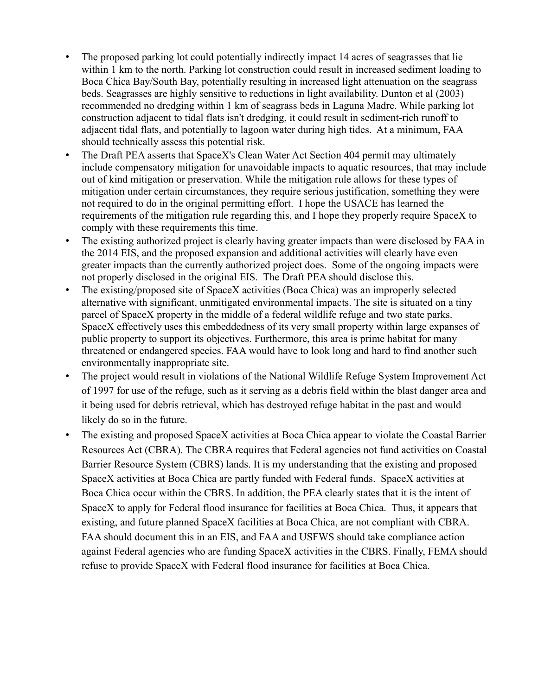- The proposed parking lot could potentially indirectly impact 14 acres of seagrasses that lie within 1 km to the north. Parking lot construction could result in increased sediment loading to Boca Chica Bay/South Bay, potentially resulting in increased light attenuation on the seagrass beds. Seagrasses are highly sensitive to reductions in light availability. Dunton et al (2003) recommended no dredging within 1 km of seagrass beds in Laguna Madre. While parking lot construction adjacent to tidal flats isn't dredging, it could result in sediment-rich runoff to adjacent tidal flats, and potentially to lagoon water during high tides. At a minimum, FAA should technically assess this potential risk.
- The Draft PEA asserts that SpaceX's Clean Water Act Section 404 permit may ultimately include compensatory mitigation for unavoidable impacts to aquatic resources, that may include out of kind mitigation or preservation. While the mitigation rule allows for these types of mitigation under certain circumstances, they require serious justification, something they were not required to do in the original permitting effort. I hope the USACE has learned the requirements of the mitigation rule regarding this, and I hope they properly require SpaceX to comply with these requirements this time.
- The existing authorized project is clearly having greater impacts than were disclosed by FAA in the 2014 EIS, and the proposed expansion and additional activities will clearly have even greater impacts than the currently authorized project does. Some of the ongoing impacts were not properly disclosed in the original EIS. The Draft PEA should disclose this.
- The existing/proposed site of SpaceX activities (Boca Chica) was an improperly selected alternative with significant, unmitigated environmental impacts. The site is situated on a tiny parcel of SpaceX property in the middle of a federal wildlife refuge and two state parks. SpaceX effectively uses this embeddedness of its very small property within large expanses of public property to support its objectives. Furthermore, this area is prime habitat for many threatened or endangered species. FAA would have to look long and hard to find another such environmentally inappropriate site.
- The project would result in violations of the National Wildlife Refuge System Improvement Act of 1997 for use of the refuge, such as it serving as a debris field within the blast danger area and it being used for debris retrieval, which has destroyed refuge habitat in the past and would likely do so in the future.
- The existing and proposed SpaceX activities at Boca Chica appear to violate the Coastal Barrier Resources Act (CBRA). The CBRA requires that Federal agencies not fund activities on Coastal Barrier Resource System (CBRS) lands. It is my understanding that the existing and proposed SpaceX activities at Boca Chica are partly funded with Federal funds. SpaceX activities at Boca Chica occur within the CBRS. In addition, the PEA clearly states that it is the intent of SpaceX to apply for Federal flood insurance for facilities at Boca Chica. Thus, it appears that existing, and future planned SpaceX facilities at Boca Chica, are not compliant with CBRA. FAA should document this in an EIS, and FAA and USFWS should take compliance action against Federal agencies who are funding SpaceX activities in the CBRS. Finally, FEMA should refuse to provide SpaceX with Federal flood insurance for facilities at Boca Chica.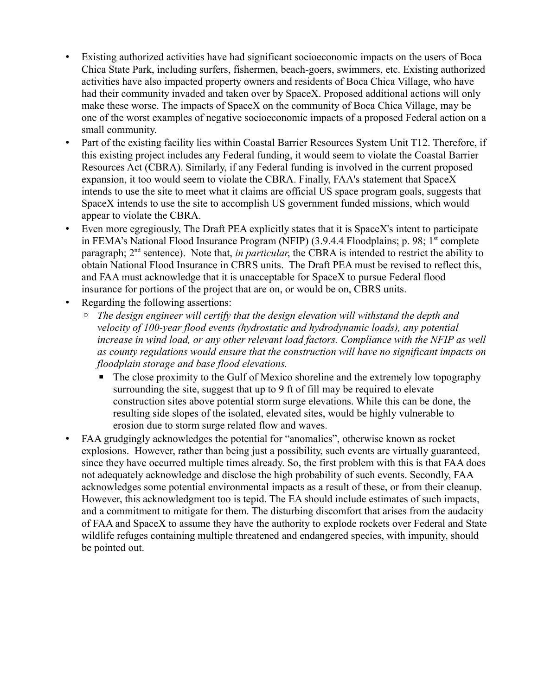- Existing authorized activities have had significant socioeconomic impacts on the users of Boca Chica State Park, including surfers, fishermen, beach-goers, swimmers, etc. Existing authorized activities have also impacted property owners and residents of Boca Chica Village, who have had their community invaded and taken over by SpaceX. Proposed additional actions will only make these worse. The impacts of SpaceX on the community of Boca Chica Village, may be one of the worst examples of negative socioeconomic impacts of a proposed Federal action on a small community.
- Part of the existing facility lies within Coastal Barrier Resources System Unit T12. Therefore, if this existing project includes any Federal funding, it would seem to violate the Coastal Barrier Resources Act (CBRA). Similarly, if any Federal funding is involved in the current proposed expansion, it too would seem to violate the CBRA. Finally, FAA's statement that SpaceX intends to use the site to meet what it claims are official US space program goals, suggests that SpaceX intends to use the site to accomplish US government funded missions, which would appear to violate the CBRA.
- Even more egregiously, The Draft PEA explicitly states that it is SpaceX's intent to participate in FEMA's National Flood Insurance Program (NFIP) (3.9.4.4 Floodplains; p. 98; 1<sup>st</sup> complete paragraph; 2nd sentence). Note that, *in particular*, the CBRA is intended to restrict the ability to obtain National Flood Insurance in CBRS units. The Draft PEA must be revised to reflect this, and FAA must acknowledge that it is unacceptable for SpaceX to pursue Federal flood insurance for portions of the project that are on, or would be on, CBRS units.
- Regarding the following assertions:
	- *The design engineer will certify that the design elevation will withstand the depth and velocity of 100-year flood events (hydrostatic and hydrodynamic loads), any potential increase in wind load, or any other relevant load factors. Compliance with the NFIP as well as county regulations would ensure that the construction will have no significant impacts on floodplain storage and base flood elevations.*
		- $\blacksquare$  The close proximity to the Gulf of Mexico shoreline and the extremely low topography surrounding the site, suggest that up to 9 ft of fill may be required to elevate construction sites above potential storm surge elevations. While this can be done, the resulting side slopes of the isolated, elevated sites, would be highly vulnerable to erosion due to storm surge related flow and waves.
- FAA grudgingly acknowledges the potential for "anomalies", otherwise known as rocket explosions. However, rather than being just a possibility, such events are virtually guaranteed, since they have occurred multiple times already. So, the first problem with this is that FAA does not adequately acknowledge and disclose the high probability of such events. Secondly, FAA acknowledges some potential environmental impacts as a result of these, or from their cleanup. However, this acknowledgment too is tepid. The EA should include estimates of such impacts, and a commitment to mitigate for them. The disturbing discomfort that arises from the audacity of FAA and SpaceX to assume they have the authority to explode rockets over Federal and State wildlife refuges containing multiple threatened and endangered species, with impunity, should be pointed out.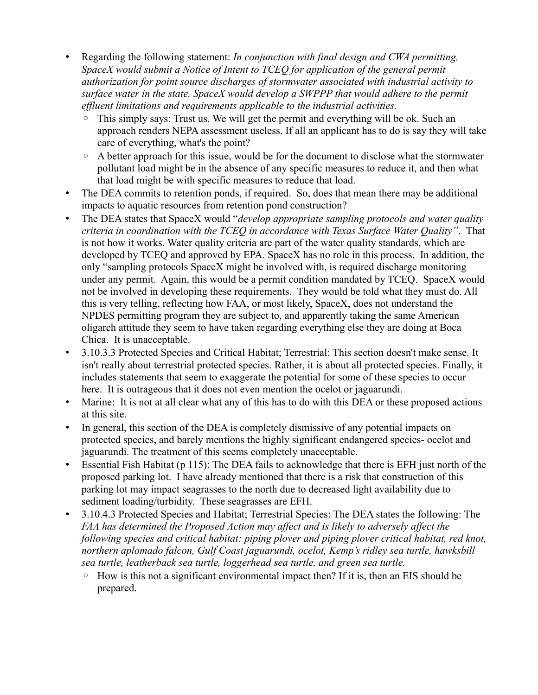- Regarding the following statement: *In conjunction with final design and CWA permitting, SpaceX would submit a Notice of Intent to TCEQ for application of the general permit authorization for point source discharges of stormwater associated with industrial activity to surface water in the state. SpaceX would develop a SWPPP that would adhere to the permit effluent limitations and requirements applicable to the industrial activities.*
	- This simply says: Trust us. We will get the permit and everything will be ok. Such an approach renders NEPA assessment useless. If all an applicant has to do is say they will take care of everything, what's the point?
	- A better approach for this issue, would be for the document to disclose what the stormwater pollutant load might be in the absence of any specific measures to reduce it, and then what that load might be with specific measures to reduce that load.
- The DEA commits to retention ponds, if required. So, does that mean there may be additional impacts to aquatic resources from retention pond construction?
- The DEA states that SpaceX would "*develop appropriate sampling protocols and water quality criteria in coordination with the TCEQ in accordance with Texas Surface Water Quality"*. That is not how it works. Water quality criteria are part of the water quality standards, which are developed by TCEQ and approved by EPA. SpaceX has no role in this process. In addition, the only "sampling protocols SpaceX might be involved with, is required discharge monitoring under any permit. Again, this would be a permit condition mandated by TCEQ. SpaceX would not be involved in developing these requirements. They would be told what they must do. All this is very telling, reflecting how FAA, or most likely, SpaceX, does not understand the NPDES permitting program they are subject to, and apparently taking the same American oligarch attitude they seem to have taken regarding everything else they are doing at Boca Chica. It is unacceptable.
- 3.10.3.3 Protected Species and Critical Habitat; Terrestrial: This section doesn't make sense. It isn't really about terrestrial protected species. Rather, it is about all protected species. Finally, it includes statements that seem to exaggerate the potential for some of these species to occur here. It is outrageous that it does not even mention the ocelot or jaguarundi.
- Marine: It is not at all clear what any of this has to do with this DEA or these proposed actions at this site.
- In general, this section of the DEA is completely dismissive of any potential impacts on protected species, and barely mentions the highly significant endangered species- ocelot and jaguarundi. The treatment of this seems completely unacceptable.
- Essential Fish Habitat (p 115): The DEA fails to acknowledge that there is EFH just north of the proposed parking lot. I have already mentioned that there is a risk that construction of this parking lot may impact seagrasses to the north due to decreased light availability due to sediment loading/turbidity. These seagrasses are EFH.
- 3.10.4.3 Protected Species and Habitat; Terrestrial Species: The DEA states the following: The *FAA has determined the Proposed Action may affect and is likely to adversely affect the following species and critical habitat: piping plover and piping plover critical habitat, red knot, northern aplomado falcon, Gulf Coast jaguarundi, ocelot, Kemp's ridley sea turtle, hawksbill sea turtle, leatherback sea turtle, loggerhead sea turtle, and green sea turtle.*
	- How is this not a significant environmental impact then? If it is, then an EIS should be prepared.